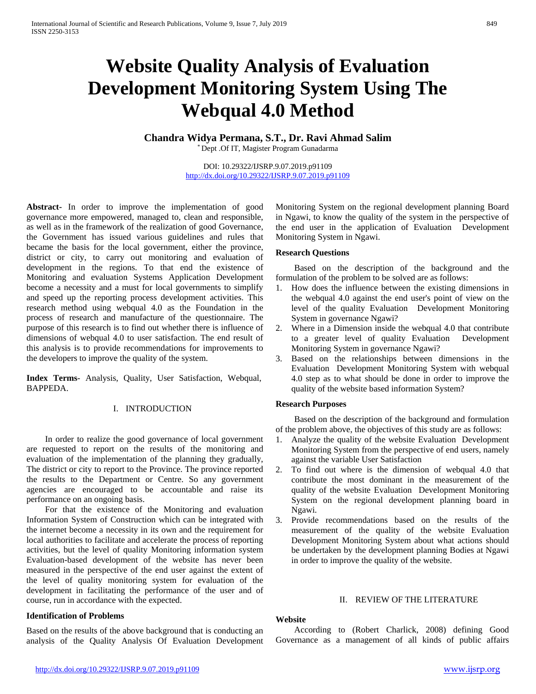# **Website Quality Analysis of Evaluation Development Monitoring System Using The Webqual 4.0 Method**

**Chandra Widya Permana, S.T., Dr. Ravi Ahmad Salim**

\* Dept .Of IT, Magister Program Gunadarma

DOI: 10.29322/IJSRP.9.07.2019.p91109 <http://dx.doi.org/10.29322/IJSRP.9.07.2019.p91109>

**Abstract-** In order to improve the implementation of good governance more empowered, managed to, clean and responsible, as well as in the framework of the realization of good Governance, the Government has issued various guidelines and rules that became the basis for the local government, either the province, district or city, to carry out monitoring and evaluation of development in the regions. To that end the existence of Monitoring and evaluation Systems Application Development become a necessity and a must for local governments to simplify and speed up the reporting process development activities. This research method using webqual 4.0 as the Foundation in the process of research and manufacture of the questionnaire. The purpose of this research is to find out whether there is influence of dimensions of webqual 4.0 to user satisfaction. The end result of this analysis is to provide recommendations for improvements to the developers to improve the quality of the system.

**Index Terms**- Analysis, Quality, User Satisfaction, Webqual, BAPPEDA.

## I. INTRODUCTION

In order to realize the good governance of local government are requested to report on the results of the monitoring and evaluation of the implementation of the planning they gradually, The district or city to report to the Province. The province reported the results to the Department or Centre. So any government agencies are encouraged to be accountable and raise its performance on an ongoing basis.

For that the existence of the Monitoring and evaluation Information System of Construction which can be integrated with the internet become a necessity in its own and the requirement for local authorities to facilitate and accelerate the process of reporting activities, but the level of quality Monitoring information system Evaluation-based development of the website has never been measured in the perspective of the end user against the extent of the level of quality monitoring system for evaluation of the development in facilitating the performance of the user and of course, run in accordance with the expected.

## **Identification of Problems**

Based on the results of the above background that is conducting an analysis of the Quality Analysis Of Evaluation Development Monitoring System on the regional development planning Board in Ngawi, to know the quality of the system in the perspective of the end user in the application of Evaluation Development Monitoring System in Ngawi.

## **Research Questions**

Based on the description of the background and the formulation of the problem to be solved are as follows:

- 1. How does the influence between the existing dimensions in the webqual 4.0 against the end user's point of view on the level of the quality Evaluation Development Monitoring System in governance Ngawi?
- 2. Where in a Dimension inside the webqual 4.0 that contribute to a greater level of quality Evaluation Development Monitoring System in governance Ngawi?
- 3. Based on the relationships between dimensions in the Evaluation Development Monitoring System with webqual 4.0 step as to what should be done in order to improve the quality of the website based information System?

## **Research Purposes**

Based on the description of the background and formulation of the problem above, the objectives of this study are as follows:

- 1. Analyze the quality of the website Evaluation Development Monitoring System from the perspective of end users, namely against the variable User Satisfaction
- 2. To find out where is the dimension of webqual 4.0 that contribute the most dominant in the measurement of the quality of the website Evaluation Development Monitoring System on the regional development planning board in Ngawi.
- 3. Provide recommendations based on the results of the measurement of the quality of the website Evaluation Development Monitoring System about what actions should be undertaken by the development planning Bodies at Ngawi in order to improve the quality of the website.

## II. REVIEW OF THE LITERATURE

## **Website**

According to (Robert Charlick, 2008) defining Good Governance as a management of all kinds of public affairs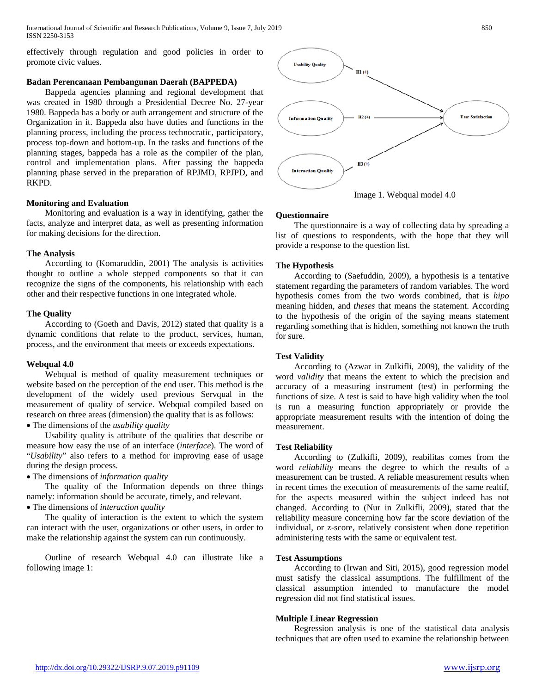International Journal of Scientific and Research Publications, Volume 9, Issue 7, July 2019 850 ISSN 2250-3153

effectively through regulation and good policies in order to promote civic values.

# **Badan Perencanaan Pembangunan Daerah (BAPPEDA)**

Bappeda agencies planning and regional development that was created in 1980 through a Presidential Decree No. 27-year 1980. Bappeda has a body or auth arrangement and structure of the Organization in it. Bappeda also have duties and functions in the planning process, including the process technocratic, participatory, process top-down and bottom-up. In the tasks and functions of the planning stages, bappeda has a role as the compiler of the plan, control and implementation plans. After passing the bappeda planning phase served in the preparation of RPJMD, RPJPD, and RKPD.

#### **Monitoring and Evaluation**

Monitoring and evaluation is a way in identifying, gather the facts, analyze and interpret data, as well as presenting information for making decisions for the direction.

#### **The Analysis**

According to (Komaruddin, 2001) The analysis is activities thought to outline a whole stepped components so that it can recognize the signs of the components, his relationship with each other and their respective functions in one integrated whole.

#### **The Quality**

According to (Goeth and Davis, 2012) stated that quality is a dynamic conditions that relate to the product, services, human, process, and the environment that meets or exceeds expectations.

#### **Webqual 4.0**

Webqual is method of quality measurement techniques or website based on the perception of the end user. This method is the development of the widely used previous Servqual in the measurement of quality of service. Webqual compiled based on research on three areas (dimension) the quality that is as follows:

• The dimensions of the *usability quality*

Usability quality is attribute of the qualities that describe or measure how easy the use of an interface (*interface*). The word of "*Usability*" also refers to a method for improving ease of usage during the design process.

# • The dimensions of *information quality*

The quality of the Information depends on three things namely: information should be accurate, timely, and relevant.

# • The dimensions of *interaction quality*

The quality of interaction is the extent to which the system can interact with the user, organizations or other users, in order to make the relationship against the system can run continuously.

Outline of research Webqual 4.0 can illustrate like a following image 1:





The questionnaire is a way of collecting data by spreading a list of questions to respondents, with the hope that they will provide a response to the question list.

#### **The Hypothesis**

According to (Saefuddin, 2009), a hypothesis is a tentative statement regarding the parameters of random variables. The word hypothesis comes from the two words combined, that is *hipo* meaning hidden, and *theses* that means the statement. According to the hypothesis of the origin of the saying means statement regarding something that is hidden, something not known the truth for sure.

# **Test Validity**

According to (Azwar in Zulkifli, 2009), the validity of the word *validity* that means the extent to which the precision and accuracy of a measuring instrument (test) in performing the functions of size. A test is said to have high validity when the tool is run a measuring function appropriately or provide the appropriate measurement results with the intention of doing the measurement.

#### **Test Reliability**

According to (Zulkifli, 2009), reabilitas comes from the word *reliability* means the degree to which the results of a measurement can be trusted. A reliable measurement results when in recent times the execution of measurements of the same realtif, for the aspects measured within the subject indeed has not changed. According to (Nur in Zulkifli, 2009), stated that the reliability measure concerning how far the score deviation of the individual, or z-score, relatively consistent when done repetition administering tests with the same or equivalent test.

# **Test Assumptions**

According to (Irwan and Siti, 2015), good regression model must satisfy the classical assumptions. The fulfillment of the classical assumption intended to manufacture the model regression did not find statistical issues.

## **Multiple Linear Regression**

Regression analysis is one of the statistical data analysis techniques that are often used to examine the relationship between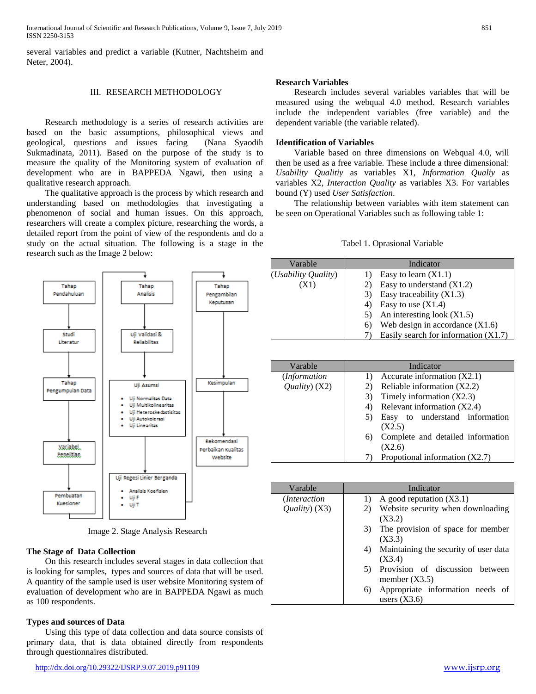International Journal of Scientific and Research Publications, Volume 9, Issue 7, July 2019 851 ISSN 2250-3153

several variables and predict a variable (Kutner, Nachtsheim and Neter, 2004).

#### III. RESEARCH METHODOLOGY

Research methodology is a series of research activities are based on the basic assumptions, philosophical views and geological, questions and issues facing (Nana Syaodih Sukmadinata, 2011)*.* Based on the purpose of the study is to measure the quality of the Monitoring system of evaluation of development who are in BAPPEDA Ngawi, then using a qualitative research approach.

The qualitative approach is the process by which research and understanding based on methodologies that investigating a phenomenon of social and human issues. On this approach, researchers will create a complex picture, researching the words, a detailed report from the point of view of the respondents and do a study on the actual situation. The following is a stage in the research such as the Image 2 below:



Image 2. Stage Analysis Research

#### **The Stage of Data Collection**

On this research includes several stages in data collection that is looking for samples, types and sources of data that will be used. A quantity of the sample used is user website Monitoring system of evaluation of development who are in BAPPEDA Ngawi as much as 100 respondents.

#### **Types and sources of Data**

Using this type of data collection and data source consists of primary data, that is data obtained directly from respondents through questionnaires distributed.

Research includes several variables variables that will be measured using the webqual 4.0 method. Research variables include the independent variables (free variable) and the dependent variable (the variable related).

#### **Identification of Variables**

Variable based on three dimensions on Webqual 4.0, will then be used as a free variable. These include a three dimensional: *Usability Qualitiy* as variables X1, *Information Qualiy* as variables X2, *Interaction Quality* as variables X3. For variables bound (Y) used *User Satisfaction*.

The relationship between variables with item statement can be seen on Operational Variables such as following table 1:

#### Tabel 1. Oprasional Variable

| Varable             | Indicator                               |  |  |
|---------------------|-----------------------------------------|--|--|
| (Usability Quality) | Easy to learn $(X1.1)$                  |  |  |
| (X1)                | Easy to understand $(X1.2)$             |  |  |
|                     | Easy traceability $(X1.3)$<br>3)        |  |  |
|                     | Easy to use $(X1.4)$<br>4)              |  |  |
|                     | An interesting look $(X1.5)$            |  |  |
|                     | Web design in accordance $(X1.6)$<br>6) |  |  |
|                     | Easily search for information $(X1.7)$  |  |  |

| Varable                               | Indicator                               |  |  |
|---------------------------------------|-----------------------------------------|--|--|
| ( <i>Information</i>                  | Accurate information $(X2.1)$           |  |  |
| $\langle \text{Quality} \rangle$ (X2) | Reliable information (X2.2)             |  |  |
|                                       | Timely information $(X2.3)$<br>3)       |  |  |
|                                       | Relevant information (X2.4)<br>4)       |  |  |
|                                       | Easy to understand information<br>5)    |  |  |
|                                       | (X2.5)                                  |  |  |
|                                       | Complete and detailed information<br>6) |  |  |
|                                       | (X2.6)                                  |  |  |
|                                       | Propotional information $(X2.7)$        |  |  |

| Varable                | Indicator                                   |  |  |  |
|------------------------|---------------------------------------------|--|--|--|
| ( <i>Interaction</i> ) | A good reputation $(X3.1)$<br>1)            |  |  |  |
| $Quality)$ (X3)        | Website security when downloading<br>2)     |  |  |  |
|                        | (X3.2)                                      |  |  |  |
|                        | The provision of space for member<br>3)     |  |  |  |
|                        | (X3.3)                                      |  |  |  |
|                        | Maintaining the security of user data<br>4) |  |  |  |
|                        | (X3.4)                                      |  |  |  |
|                        | Provision of discussion between<br>5)       |  |  |  |
|                        | member $(X3.5)$                             |  |  |  |
|                        | Appropriate information needs of<br>6)      |  |  |  |
|                        | users $(X3.6)$                              |  |  |  |
|                        |                                             |  |  |  |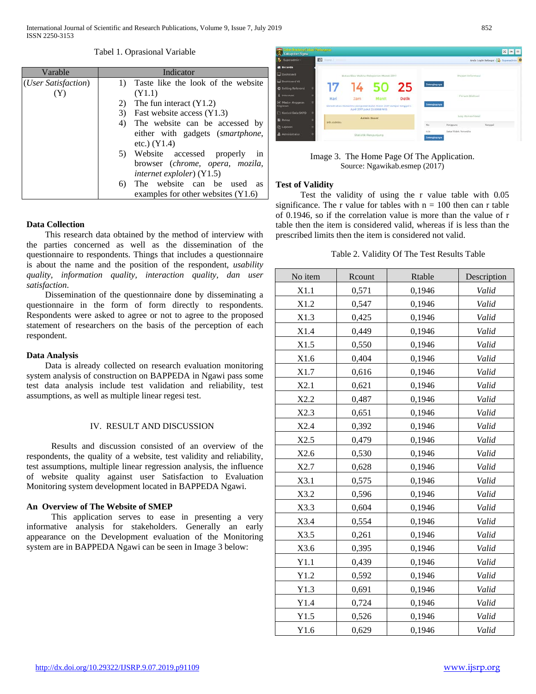#### Tabel 1. Oprasional Variable

| Varable                      | Indicator                                                                         |  |  |  |
|------------------------------|-----------------------------------------------------------------------------------|--|--|--|
| ( <i>User Satisfaction</i> ) | Taste like the look of the website<br>$\bf{D}$                                    |  |  |  |
| (Y)                          | (Y1.1)                                                                            |  |  |  |
|                              | The fun interact $(Y1.2)$<br>2)                                                   |  |  |  |
|                              | Fast website access (Y1.3)<br>3)                                                  |  |  |  |
|                              | The website can be accessed by<br>4)<br>either with gadgets ( <i>smartphone</i> , |  |  |  |
|                              |                                                                                   |  |  |  |
|                              | etc.) $(Y1.4)$                                                                    |  |  |  |
|                              | Website accessed<br>properly<br>5)<br>in                                          |  |  |  |
|                              | browser (chrome, opera, mozila,                                                   |  |  |  |
|                              | <i>internet exploler</i> ) (Y1.5)                                                 |  |  |  |
|                              | The website can be used<br>6)<br><b>as</b>                                        |  |  |  |
|                              | examples for other websites $(Y1.6)$                                              |  |  |  |

# **Data Collection**

This research data obtained by the method of interview with the parties concerned as well as the dissemination of the questionnaire to respondents. Things that includes a questionnaire is about the name and the position of the respondent, *usability quality, information quality, interaction quality, dan user satisfaction*.

Dissemination of the questionnaire done by disseminating a questionnaire in the form of form directly to respondents. Respondents were asked to agree or not to agree to the proposed statement of researchers on the basis of the perception of each respondent.

## **Data Analysis**

Data is already collected on research evaluation monitoring system analysis of construction on BAPPEDA in Ngawi pass some test data analysis include test validation and reliability, test assumptions, as well as multiple linear regesi test.

## IV. RESULT AND DISCUSSION

Results and discussion consisted of an overview of the respondents, the quality of a website, test validity and reliability, test assumptions, multiple linear regression analysis, the influence of website quality against user Satisfaction to Evaluation Monitoring system development located in BAPPEDA Ngawi.

## **An Overview of The Website of SMEP**

This application serves to ease in presenting a very informative analysis for stakeholders. Generally an early appearance on the Development evaluation of the Monitoring system are in BAPPEDA Ngawi can be seen in Image 3 below:



## Image 3. The Home Page Of The Application. Source: Ngawikab.esmep (2017)

#### **Test of Validity**

Test the validity of using the r value table with 0.05 significance. The r value for tables with  $n = 100$  then can r table of 0.1946, so if the correlation value is more than the value of r table then the item is considered valid, whereas if is less than the prescribed limits then the item is considered not valid.

|  | Table 2. Validity Of The Test Results Table |  |  |  |  |
|--|---------------------------------------------|--|--|--|--|
|--|---------------------------------------------|--|--|--|--|

| No item    | Rcount | Rtable | Description |
|------------|--------|--------|-------------|
| X1.1       | 0,571  | 0,1946 | Valid       |
| X1.2       | 0,547  | 0,1946 | Valid       |
| X1.3       | 0,425  | 0,1946 | Valid       |
| X1.4       | 0,449  | 0,1946 | Valid       |
| X1.5       | 0,550  | 0,1946 | Valid       |
| X1.6       | 0,404  | 0,1946 | Valid       |
| X1.7       | 0,616  | 0,1946 | Valid       |
| X2.1       | 0,621  | 0,1946 | Valid       |
| X2.2       | 0,487  | 0,1946 | Valid       |
| X2.3       | 0,651  | 0,1946 | Valid       |
| X2.4       | 0,392  | 0,1946 | Valid       |
| X2.5       | 0,479  | 0,1946 | Valid       |
| X2.6       | 0,530  | 0,1946 | Valid       |
| X2.7       | 0,628  | 0,1946 | Valid       |
| X3.1       | 0,575  | 0,1946 | Valid       |
| X3.2       | 0,596  | 0,1946 | Valid       |
| X3.3       | 0,604  | 0,1946 | Valid       |
| X3.4       | 0,554  | 0,1946 | Valid       |
| X3.5       | 0,261  | 0,1946 | Valid       |
| X3.6       | 0,395  | 0,1946 | Valid       |
| Y1.1       | 0,439  | 0,1946 | Valid       |
| Y1.2       | 0,592  | 0,1946 | Valid       |
| Y1.3       | 0,691  | 0,1946 | Valid       |
| Y1.4       | 0,724  | 0,1946 | Valid       |
| $\rm Y1.5$ | 0,526  | 0,1946 | Valid       |
| Y1.6       | 0,629  | 0,1946 | Valid       |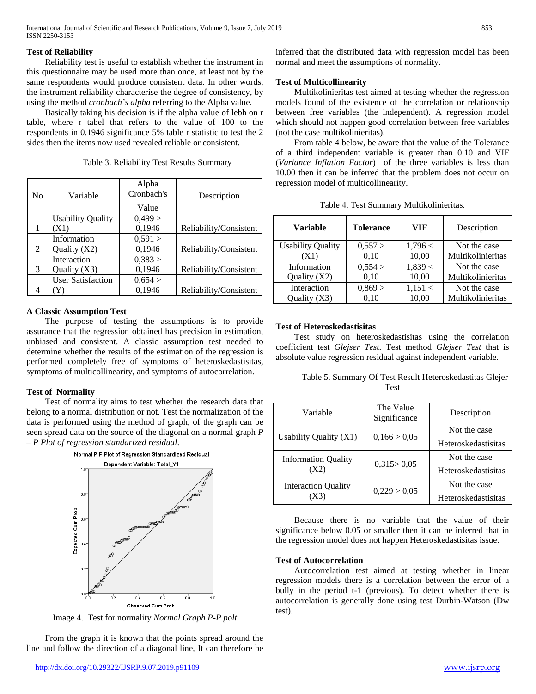## **Test of Reliability**

Reliability test is useful to establish whether the instrument in this questionnaire may be used more than once, at least not by the same respondents would produce consistent data. In other words, the instrument reliability characterise the degree of consistency, by using the method *cronbach's alpha* referring to the Alpha value.

Basically taking his decision is if the alpha value of lebh on r table, where r tabel that refers to the value of 100 to the respondents in 0.1946 significance 5% table r statistic to test the 2 sides then the items now used revealed reliable or consistent.

| No | Variable                 | Alpha<br>Cronbach's | Description            |
|----|--------------------------|---------------------|------------------------|
|    |                          | Value               |                        |
|    | <b>Usability Quality</b> | 0,499 >             |                        |
|    | (X1)                     | 0,1946              | Reliability/Consistent |
|    | Information              | 0,591 >             |                        |
| 2  | Quality $(X2)$           | 0,1946              | Reliability/Consistent |
|    | Interaction              | 0,383 >             |                        |
| 3  | Quality $(X3)$           | 0,1946              | Reliability/Consistent |
|    | <b>User Satisfaction</b> | 0,654 >             |                        |
|    |                          | 0,1946              | Reliability/Consistent |

Table 3. Reliability Test Results Summary

# **A Classic Assumption Test**

The purpose of testing the assumptions is to provide assurance that the regression obtained has precision in estimation, unbiased and consistent. A classic assumption test needed to determine whether the results of the estimation of the regression is performed completely free of symptoms of heteroskedastisitas, symptoms of multicollinearity, and symptoms of autocorrelation.

# **Test of Normality**

Test of normality aims to test whether the research data that belong to a normal distribution or not. Test the normalization of the data is performed using the method of graph, of the graph can be seen spread data on the source of the diagonal on a normal graph *P – P Plot of regression standarized residual*.



Image 4. Test for normality *Normal Graph P-P polt*

From the graph it is known that the points spread around the line and follow the direction of a diagonal line, It can therefore be inferred that the distributed data with regression model has been normal and meet the assumptions of normality.

# **Test of Multicollinearity**

Multikolinieritas test aimed at testing whether the regression models found of the existence of the correlation or relationship between free variables (the independent). A regression model which should not happen good correlation between free variables (not the case multikolinieritas).

From table 4 below, be aware that the value of the Tolerance of a third independent variable is greater than 0.10 and VIF (*Variance Inflation Factor*) of the three variables is less than 10.00 then it can be inferred that the problem does not occur on regression model of multicollinearity.

|  | Table 4. Test Summary Multikolinieritas. |  |
|--|------------------------------------------|--|
|  |                                          |  |

| Variable                 | <b>Tolerance</b> | <b>VIF</b> | Description       |
|--------------------------|------------------|------------|-------------------|
| <b>Usability Quality</b> | 0,557 >          | 1,796 <    | Not the case      |
| (X1)                     | 0,10             | 10,00      | Multikolinieritas |
| Information              | 0,554 >          | 1,839 <    | Not the case      |
| Quality $(X2)$           | 0,10             | 10,00      | Multikolinieritas |
| Interaction              | 0,869 >          | 1,151 <    | Not the case      |
| Ouality $(X3)$           | 0.10             | 10.00      | Multikolinieritas |

# **Test of Heteroskedastisitas**

Test study on heteroskedastisitas using the correlation coefficient test *Glejser Test*. Test method *Glejser Test* that is absolute value regression residual against independent variable.

Table 5. Summary Of Test Result Heteroskedastitas Glejer Test

| Variable                      | The Value<br>Significance | Description         |  |
|-------------------------------|---------------------------|---------------------|--|
| <b>Usability Quality (X1)</b> | 0,166 > 0,05              | Not the case        |  |
|                               |                           | Heteroskedastisitas |  |
| <b>Information Quality</b>    |                           | Not the case        |  |
| (X2)                          | 0,315 > 0,05              | Heteroskedastisitas |  |
| <b>Interaction Quality</b>    |                           | Not the case        |  |
|                               | 0,229 > 0,05              | Heteroskedastisitas |  |

Because there is no variable that the value of their significance below 0.05 or smaller then it can be inferred that in the regression model does not happen Heteroskedastisitas issue.

## **Test of Autocorrelation**

Autocorrelation test aimed at testing whether in linear regression models there is a correlation between the error of a bully in the period t-1 (previous). To detect whether there is autocorrelation is generally done using test Durbin-Watson (Dw test).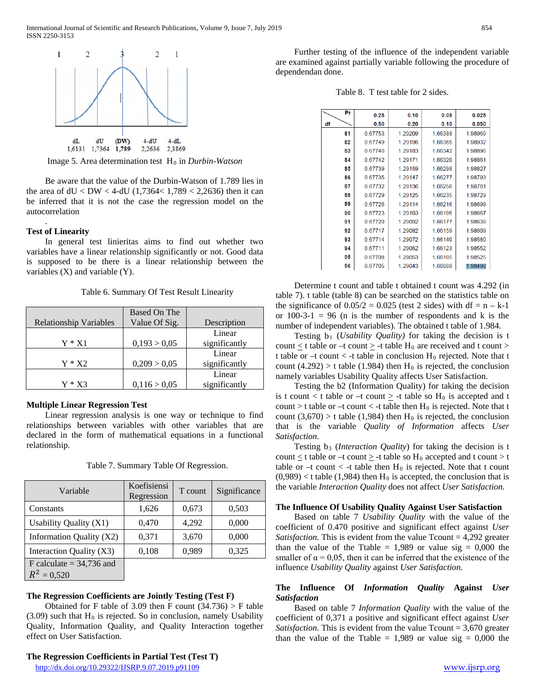

Image 5. Area determination test H<sub>0</sub> in *Durbin-Watson* 

Be aware that the value of the Durbin-Watson of 1.789 lies in the area of  $dU < DW < 4$ -dU (1,7364< 1,789 < 2,2636) then it can be inferred that it is not the case the regression model on the autocorrelation

#### **Test of Linearity**

.

In general test linieritas aims to find out whether two variables have a linear relationship significantly or not. Good data is supposed to be there is a linear relationship between the variables (X) and variable (Y).

Table 6. Summary Of Test Result Linearity

|                               | <b>Based On The</b> |               |
|-------------------------------|---------------------|---------------|
| <b>Relationship Variables</b> | Value Of Sig.       | Description   |
|                               |                     | Linear        |
| $Y * X1$                      | 0,193 > 0,05        | significantly |
|                               |                     | Linear        |
| $Y * X2$                      | 0,209 > 0,05        | significantly |
|                               |                     | Linear        |
| Y * X3                        | 0,116 > 0,05        | significantly |

# **Multiple Linear Regression Test**

Linear regression analysis is one way or technique to find relationships between variables with other variables that are declared in the form of mathematical equations in a functional relationship.

| Variable                   | Koefisiensi<br>Regression | T count | Significance |
|----------------------------|---------------------------|---------|--------------|
| Constants                  | 1,626                     | 0,673   | 0,503        |
| Usability Quality (X1)     | 0,470                     | 4,292   | 0,000        |
| Information Quality (X2)   | 0,371                     | 3,670   | 0,000        |
| Interaction Quality (X3)   | 0,108                     | 0,989   | 0,325        |
| F calculate $=$ 34,736 and |                           |         |              |
| $R^2 = 0,520$              |                           |         |              |

Table 7. Summary Table Of Regression.

#### **The Regression Coefficients are Jointly Testing (Test F)**

Obtained for F table of 3.09 then F count  $(34.736)$  > F table  $(3.09)$  such that H<sub>0</sub> is rejected. So in conclusion, namely Usability Quality, Information Quality, and Quality Interaction together effect on User Satisfaction.

<http://dx.doi.org/10.29322/IJSRP.9.07.2019.p91109> [www.ijsrp.org](http://ijsrp.org/)

Further testing of the influence of the independent variable are examined against partially variable following the procedure of dependendan done.

Table 8. T test table for 2 sides.

| Pr | 0.25    | 0.10    | 0.05    | 0.025   |
|----|---------|---------|---------|---------|
| df | 0.50    | 0.20    | 0.10    | 0.050   |
| 81 | 0.67753 | 1.29209 | 1.66388 | 1.98969 |
| 82 | 0.67749 | 1.29196 | 1.66365 | 1.98932 |
| 83 | 0.67746 | 1 29183 | 1.66342 | 1.98896 |
| 84 | 067742  | 1.29171 | 1.66320 | 1.98861 |
| 85 | 0.67739 | 1.29159 | 1.66298 | 1.98827 |
| 86 | 067735  | 1 29147 | 166277  | 198793  |
| 87 | 0.67732 | 1.29136 | 1.66256 | 1.98761 |
| 88 | 0.67729 | 1.29125 | 1.66235 | 1.98729 |
| 89 | 0.67726 | 1.29114 | 1.66216 | 1.98698 |
| 90 | 0.67723 | 1.29103 | 1.66196 | 1.98667 |
| 91 | 0.67720 | 1.29092 | 1.66177 | 1.98638 |
| 92 | 0.67717 | 1 29082 | 166159  | 1.98609 |
| 93 | 0.67714 | 1.29072 | 1.66140 | 1.98580 |
| 94 | 0.67711 | 1.29062 | 1.66123 | 1.98552 |
| 95 | 0.67708 | 1.29053 | 1.66105 | 1.98525 |
| 96 | 0.67705 | 1.29043 | 1.66088 | 1.98498 |

Determine t count and table t obtained t count was 4.292 (in table 7). t table (table 8) can be searched on the statistics table on the significance of  $0.05/2 = 0.025$  (test 2 sides) with df = n – k-1 or  $100-3-1 = 96$  (n is the number of respondents and k is the number of independent variables). The obtained t table of 1.984.

Testing b1 (*Usability Quality)* for taking the decision is t count  $\leq$  t table or –t count  $\geq$  -t table H<sub>0</sub> are received and t count  $>$ t table or  $-t$  count  $<$  -t table in conclusion  $H_0$  rejected. Note that t count (4.292) > t table (1.984) then  $H_0$  is rejected, the conclusion namely variables Usability Quality affects User Satisfaction.

Testing the b2 (Information Quality) for taking the decision is t count  $\lt$  t table or  $-t$  count  $\geq$  -t table so  $H_0$  is accepted and t count > t table or –t count < -t table then  $H_0$  is rejected. Note that t count  $(3,670) > t$  table  $(1,984)$  then H<sub>0</sub> is rejected, the conclusion that is the variable *Quality of Information* affects *User Satisfaction*.

Testing b<sub>3</sub> (*Interaction Quality*) for taking the decision is t count  $\leq$  t table or –t count  $\geq$  -t table so  $H_0$  accepted and t count  $>$  t table or  $-t$  count  $<$  -t table then  $H_0$  is rejected. Note that t count  $(0,989)$  < t table (1,984) then H<sub>0</sub> is accepted, the conclusion that is the variable *Interaction Quality* does not affect *User Satisfaction.*

#### **The Influence Of Usability Quality Against User Satisfaction**

Based on table 7 *Usability Quality* with the value of the coefficient of 0.470 positive and significant effect against *User Satisfaction*. This is evident from the value Tcount = 4,292 greater than the value of the Ttable = 1,989 or value sig =  $0,000$  the smaller of  $\alpha = 0.05$ , then it can be inferred that the existence of the influence *Usability Quality* against *User Satisfaction*.

## **The Influence Of** *Information Quality* **Against** *User Satisfaction*

Based on table 7 *Information Quality* with the value of the coefficient of 0,371 a positive and significant effect against *User Satisfaction*. This is evident from the value Tcount = 3,670 greater than the value of the Ttable = 1,989 or value sig =  $0,000$  the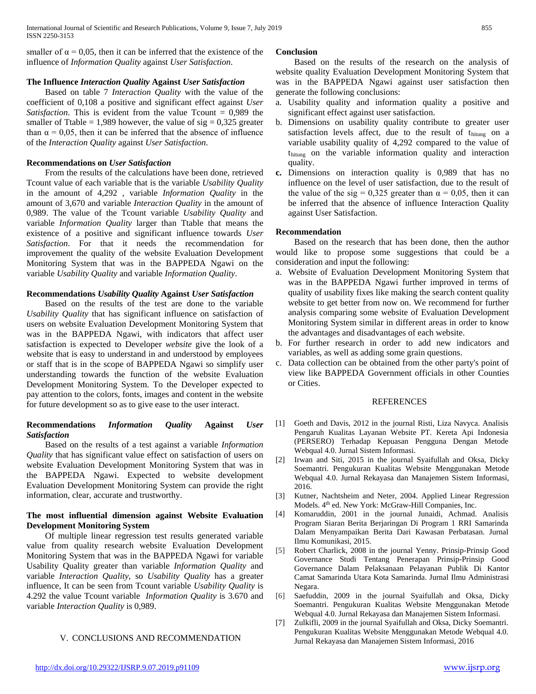smaller of  $\alpha = 0.05$ , then it can be inferred that the existence of the influence of *Information Quality* against *User Satisfaction*.

## **The Influence** *Interaction Quality* **Against** *User Satisfaction*

Based on table 7 *Interaction Quality* with the value of the coefficient of 0,108 a positive and significant effect against *User Satisfaction*. This is evident from the value Tcount = 0,989 the smaller of Ttable = 1,989 however, the value of  $sig = 0,325$  greater than  $\alpha = 0.05$ , then it can be inferred that the absence of influence of the *Interaction Quality* against *User Satisfaction*.

# **Recommendations on** *User Satisfaction*

From the results of the calculations have been done, retrieved Tcount value of each variable that is the variable *Usability Quality* in the amount of 4,292 , variable *Information Quality* in the amount of 3,670 and variable *Interaction Quality* in the amount of 0,989. The value of the Tcount variable *Usability Quality* and variable *Information Quality* larger than Ttable that means the existence of a positive and significant influence towards *User Satisfaction*. For that it needs the recommendation for improvement the quality of the website Evaluation Development Monitoring System that was in the BAPPEDA Ngawi on the variable *Usability Quality* and variable *Information Quality*.

# **Recommendations** *Usability Quality* **Against** *User Satisfaction*

Based on the results of the test are done to the variable *Usability Quality* that has significant influence on satisfaction of users on website Evaluation Development Monitoring System that was in the BAPPEDA Ngawi, with indicators that affect user satisfaction is expected to Developer *website* give the look of a website that is easy to understand in and understood by employees or staff that is in the scope of BAPPEDA Ngawi so simplify user understanding towards the function of the website Evaluation Development Monitoring System. To the Developer expected to pay attention to the colors, fonts, images and content in the website for future development so as to give ease to the user interact.

# **Recommendations** *Information Quality* **Against** *User Satisfaction*

Based on the results of a test against a variable *Information Quality* that has significant value effect on satisfaction of users on website Evaluation Development Monitoring System that was in the BAPPEDA Ngawi. Expected to website development Evaluation Development Monitoring System can provide the right information, clear, accurate and trustworthy.

# **The most influential dimension against Website Evaluation Development Monitoring System**

Of multiple linear regression test results generated variable value from quality research website Evaluation Development Monitoring System that was in the BAPPEDA Ngawi for variable Usability Quality greater than variable *Information Quality* and variable *Interaction Quality*, so *Usability Quality* has a greater influence, It can be seen from Tcount variable *Usability Quality* is 4.292 the value Tcount variable *Information Quality* is 3.670 and variable *Interaction Quality* is 0,989.

# V. CONCLUSIONS AND RECOMMENDATION

Based on the results of the research on the analysis of website quality Evaluation Development Monitoring System that was in the BAPPEDA Ngawi against user satisfaction then generate the following conclusions:

- a. Usability quality and information quality a positive and significant effect against user satisfaction.
- b. Dimensions on usability quality contribute to greater user satisfaction levels affect, due to the result of thitung on a variable usability quality of 4,292 compared to the value of thitung on the variable information quality and interaction quality.
- **c.** Dimensions on interaction quality is 0,989 that has no influence on the level of user satisfaction, due to the result of the value of the sig = 0,325 greater than  $\alpha$  = 0,05, then it can be inferred that the absence of influence Interaction Quality against User Satisfaction.

# **Recommendation**

Based on the research that has been done, then the author would like to propose some suggestions that could be a consideration and input the following:

- a. Website of Evaluation Development Monitoring System that was in the BAPPEDA Ngawi further improved in terms of quality of usability fixes like making the search content quality website to get better from now on. We recommend for further analysis comparing some website of Evaluation Development Monitoring System similar in different areas in order to know the advantages and disadvantages of each website.
- b. For further research in order to add new indicators and variables, as well as adding some grain questions.
- c. Data collection can be obtained from the other party's point of view like BAPPEDA Government officials in other Counties or Cities.

## REFERENCES

- [1] Goeth and Davis, 2012 in the journal Risti, Liza Navyca. Analisis Pengaruh Kualitas Layanan Website PT. Kereta Api Indonesia (PERSERO) Terhadap Kepuasan Pengguna Dengan Metode Webqual 4.0. Jurnal Sistem Informasi.
- [2] Irwan and Siti, 2015 in the journal Syaifullah and Oksa, Dicky Soemantri. Pengukuran Kualitas Website Menggunakan Metode Webqual 4.0. Jurnal Rekayasa dan Manajemen Sistem Informasi, 2016.
- [3] Kutner, Nachtsheim and Neter, 2004. Applied Linear Regression Models. 4th ed. New York: McGraw-Hill Companies, Inc.
- [4] Komaruddin, 2001 in the journal Junaidi, Achmad. Analisis Program Siaran Berita Berjaringan Di Program 1 RRI Samarinda Dalam Menyampaikan Berita Dari Kawasan Perbatasan. Jurnal Ilmu Komunikasi, 2015.
- [5] Robert Charlick, 2008 in the journal Yenny. Prinsip-Prinsip Good Governance Studi Tentang Penerapan Prinsip-Prinsip Good Governance Dalam Pelaksanaan Pelayanan Publik Di Kantor Camat Samarinda Utara Kota Samarinda. Jurnal Ilmu Administrasi Negara.
- [6] Saefuddin, 2009 in the journal Syaifullah and Oksa, Dicky Soemantri. Pengukuran Kualitas Website Menggunakan Metode Webqual 4.0. Jurnal Rekayasa dan Manajemen Sistem Informasi.
- [7] Zulkifli, 2009 in the journal Syaifullah and Oksa, Dicky Soemantri. Pengukuran Kualitas Website Menggunakan Metode Webqual 4.0. Jurnal Rekayasa dan Manajemen Sistem Informasi, 2016